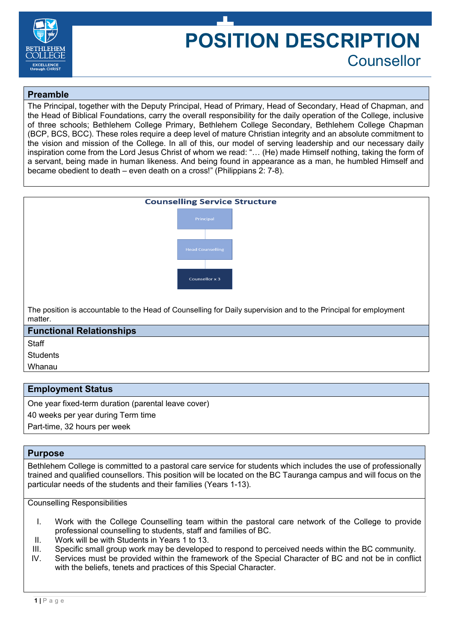

# **POSITION DESCRIPTION** Counsellor

# **Preamble**

The Principal, together with the Deputy Principal, Head of Primary, Head of Secondary, Head of Chapman, and the Head of Biblical Foundations, carry the overall responsibility for the daily operation of the College, inclusive of three schools; Bethlehem College Primary, Bethlehem College Secondary, Bethlehem College Chapman (BCP, BCS, BCC). These roles require a deep level of mature Christian integrity and an absolute commitment to the vision and mission of the College. In all of this, our model of serving leadership and our necessary daily inspiration come from the Lord Jesus Christ of whom we read: "… (He) made Himself nothing, taking the form of a servant, being made in human likeness. And being found in appearance as a man, he humbled Himself and became obedient to death – even death on a cross!" (Philippians 2: 7-8).

| <b>Counselling Service Structure</b>                                                                                        |  |  |
|-----------------------------------------------------------------------------------------------------------------------------|--|--|
| Principal                                                                                                                   |  |  |
| <b>Head Counselling</b>                                                                                                     |  |  |
| Counsellor x 3                                                                                                              |  |  |
| The position is accountable to the Head of Counselling for Daily supervision and to the Principal for employment<br>matter. |  |  |

#### **Functional Relationships**

**Staff** 

**Students** 

Whanau

## **Employment Status**

One year fixed-term duration (parental leave cover)

40 weeks per year during Term time

Part-time, 32 hours per week

#### **Purpose**

Bethlehem College is committed to a pastoral care service for students which includes the use of professionally trained and qualified counsellors. This position will be located on the BC Tauranga campus and will focus on the particular needs of the students and their families (Years 1-13).

Counselling Responsibilities

- I. Work with the College Counselling team within the pastoral care network of the College to provide professional counselling to students, staff and families of BC.
- II. Work will be with Students in Years 1 to 13.
- III. Specific small group work may be developed to respond to perceived needs within the BC community.
- IV. Services must be provided within the framework of the Special Character of BC and not be in conflict with the beliefs, tenets and practices of this Special Character.